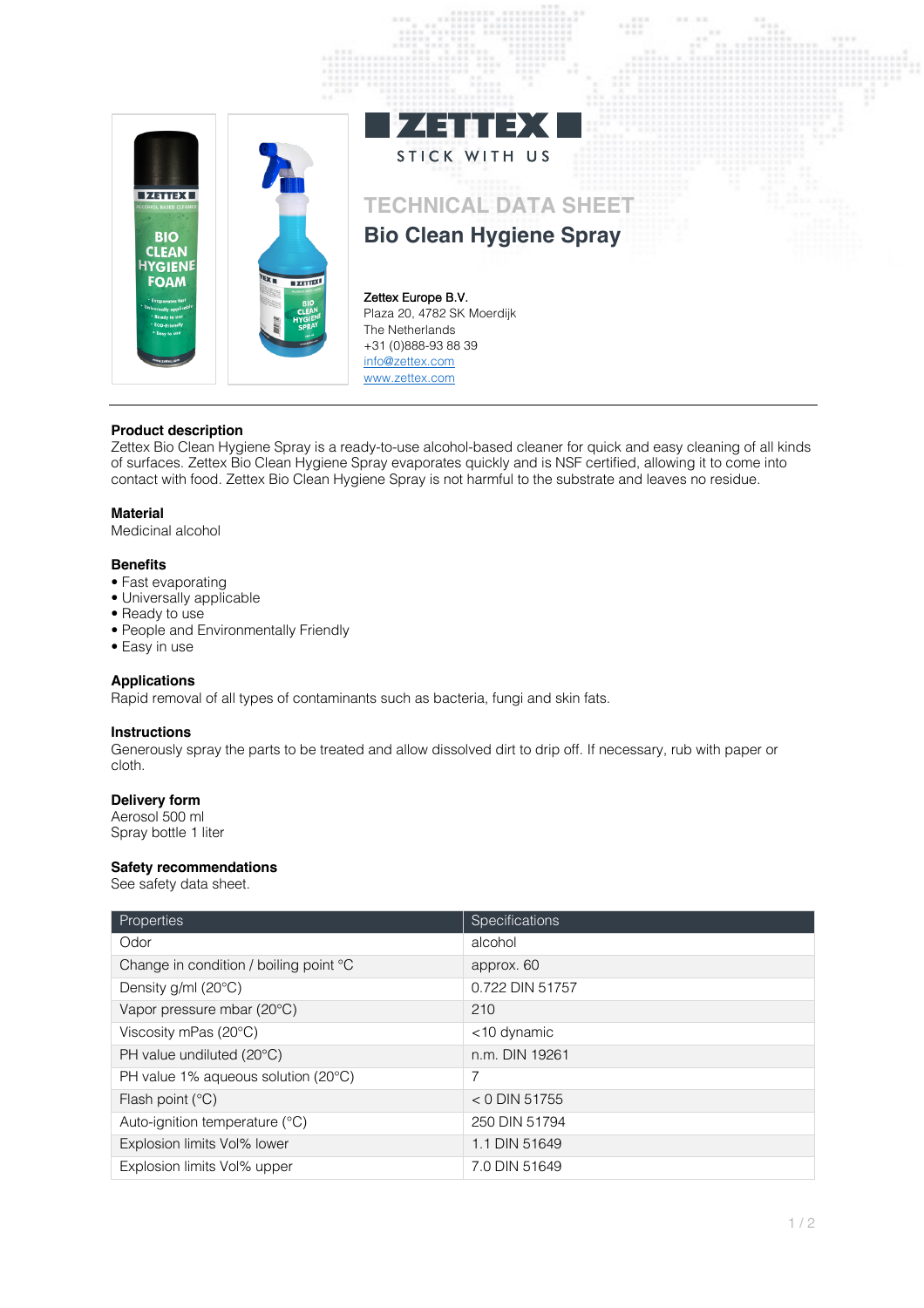

## **Product description**

Zettex Bio Clean Hygiene Spray is a ready-to-use alcohol-based cleaner for quick and easy cleaning of all kinds of surfaces. Zettex Bio Clean Hygiene Spray evaporates quickly and is NSF certified, allowing it to come into contact with food. Zettex Bio Clean Hygiene Spray is not harmful to the substrate and leaves no residue.

#### **Material**

Medicinal alcohol

## **Benefits**

- Fast evaporating
- Universally applicable
- Ready to use
- People and Environmentally Friendly
- Easy in use

## **Applications**

Rapid removal of all types of contaminants such as bacteria, fungi and skin fats.

## **Instructions**

Generously spray the parts to be treated and allow dissolved dirt to drip off. If necessary, rub with paper or cloth.

# **Delivery form**

Aerosol 500 ml Spray bottle 1 liter

## **Safety recommendations**

See safety data sheet.

| Properties                             | Specifications  |
|----------------------------------------|-----------------|
| Odor                                   | alcohol         |
| Change in condition / boiling point °C | approx. 60      |
| Density $g/ml$ (20 $°C$ )              | 0.722 DIN 51757 |
| Vapor pressure mbar (20°C)             | 210             |
| Viscosity mPas (20°C)                  | <10 dynamic     |
| PH value undiluted (20°C)              | n.m. DIN 19261  |
| PH value 1% aqueous solution (20°C)    | 7               |
| Flash point $(^{\circ}C)$              | $<$ 0 DIN 51755 |
| Auto-ignition temperature (°C)         | 250 DIN 51794   |
| Explosion limits Vol% lower            | 1.1 DIN 51649   |
| Explosion limits Vol% upper            | 7.0 DIN 51649   |